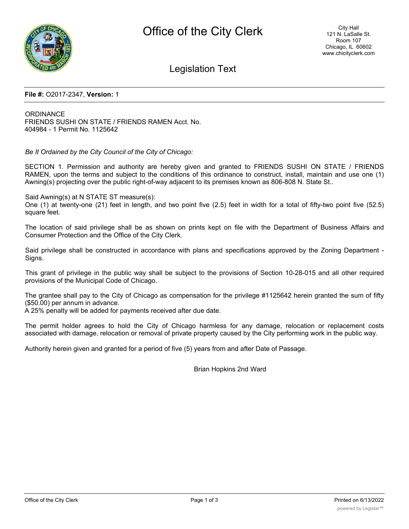

Legislation Text

### **File #:** O2017-2347, **Version:** 1

**ORDINANCE** FRIENDS SUSHI ON STATE / FRIENDS RAMEN Acct. No. 404984 - 1 Permit No. 1125642

*Be It Ordained by the City Council of the City of Chicago:*

SECTION 1. Permission and authority are hereby given and granted to FRIENDS SUSHI ON STATE / FRIENDS RAMEN, upon the terms and subject to the conditions of this ordinance to construct, install, maintain and use one (1) Awning(s) projecting over the public right-of-way adjacent to its premises known as 806-808 N. State St..

Said Awning(s) at N STATE ST measure(s):

One (1) at twenty-one (21) feet in length, and two point five (2.5) feet in width for a total of fifty-two point five (52.5) square feet.

The location of said privilege shall be as shown on prints kept on file with the Department of Business Affairs and Consumer Protection and the Office of the City Clerk.

Said privilege shall be constructed in accordance with plans and specifications approved by the Zoning Department - Signs.

This grant of privilege in the public way shall be subject to the provisions of Section 10-28-015 and all other required provisions of the Municipal Code of Chicago.

The grantee shall pay to the City of Chicago as compensation for the privilege #1125642 herein granted the sum of fifty (\$50.00) per annum in advance.

A 25% penalty will be added for payments received after due date.

The permit holder agrees to hold the City of Chicago harmless for any damage, relocation or replacement costs associated with damage, relocation or removal of private property caused by the City performing work in the public way.

Authority herein given and granted for a period of five (5) years from and after Date of Passage.

Brian Hopkins 2nd Ward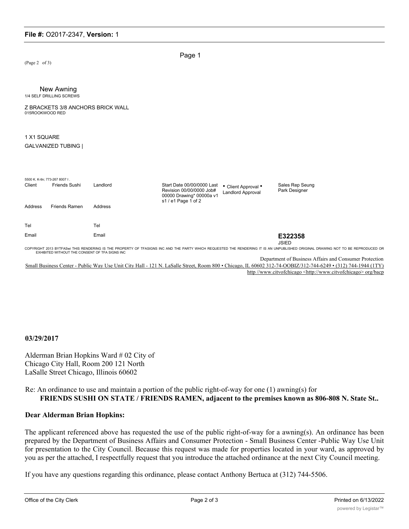# **File #:** O2017-2347, **Version:** 1

(Page 2 of 3)

Page 1

#### New Awning 1/4 SELF DRILLING SCREWS

Z BRACKETS 3/8 ANCHORS BRICK WALL 015ROOKWOOD RED

# 1 X1 SQUARE

#### GALVANIZED TUBING |

| 5500 K. K-tln; 773-267 8007 I.<br>Client<br>Address | Friends Sushi<br><b>Friends Ramen</b> | Landlord<br>Address | Start Date 00/00/0000 Last<br>Revision 00/00/0000 Job#<br>00000 Drawing* 00000a v1<br>s1 / e1 Page 1 of 2 | • Client Approval •<br><b>Landlord Approval</b> | Sales Rep Seung<br>Park Designer |
|-----------------------------------------------------|---------------------------------------|---------------------|-----------------------------------------------------------------------------------------------------------|-------------------------------------------------|----------------------------------|
|                                                     |                                       |                     |                                                                                                           |                                                 |                                  |
| Tel                                                 |                                       | Tel                 |                                                                                                           |                                                 |                                  |
|                                                     |                                       |                     |                                                                                                           |                                                 |                                  |
| Email                                               |                                       | Email               |                                                                                                           |                                                 | E322358<br><b>JSIED</b>          |

JSIED<br>COPYRIGHT 2013 BYTFASWITHIS RENDERING IS THE PROPERTY OF TFASIGNS INC AND THE PARTY WHICH REQUESTED THE RENDERING IT IS AN UNPUBLISHED ORIGINAL DRAWING NOT TO BE REPRODUCED OR<br>EXHIBITED WITHOUT THE CONSENT OF TFA SIG

Department of Business Affairs and Consumer Protection Small Business Center - Public Way Use Unit City Hall - 121 N. LaSalle Street, Room 800 • Chicago, IL 60602 312-74-OOBIZ/312-744-6249 • (312) 744-1944 (1TY) http //www.citvofchicago <http://www.citvofchicago> org/bacp

#### **03/29/2017**

Alderman Brian Hopkins Ward # 02 City of Chicago City Hall, Room 200 121 North LaSalle Street Chicago, Illinois 60602

Re: An ordinance to use and maintain a portion of the public right-of-way for one (1) awning(s) for **FRIENDS SUSHI ON STATE / FRIENDS RAMEN, adjacent to the premises known as 806-808 N. State St..**

# **Dear Alderman Brian Hopkins:**

The applicant referenced above has requested the use of the public right-of-way for a awning(s). An ordinance has been prepared by the Department of Business Affairs and Consumer Protection - Small Business Center -Public Way Use Unit for presentation to the City Council. Because this request was made for properties located in your ward, as approved by you as per the attached, I respectfully request that you introduce the attached ordinance at the next City Council meeting.

If you have any questions regarding this ordinance, please contact Anthony Bertuca at (312) 744-5506.